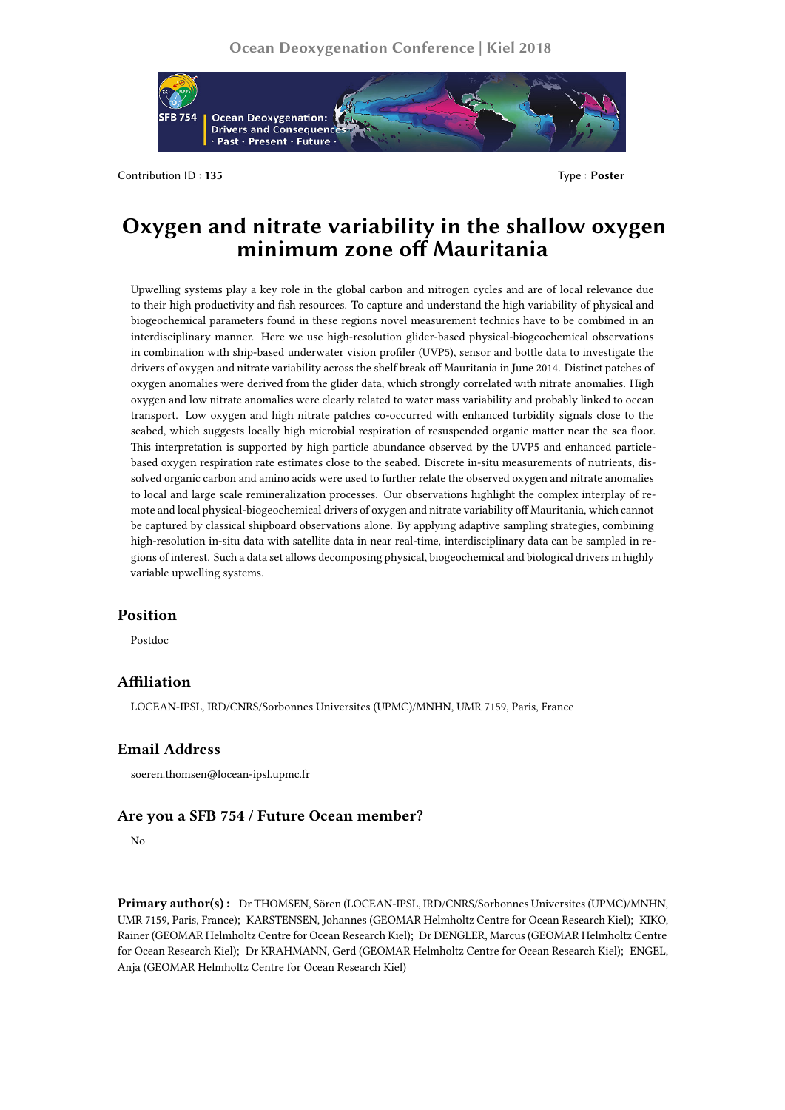

Contribution ID : **135** Type : **Poster**

# **Oxygen and nitrate variability in the shallow oxygen minimum zone off Mauritania**

Upwelling systems play a key role in the global carbon and nitrogen cycles and are of local relevance due to their high productivity and fish resources. To capture and understand the high variability of physical and biogeochemical parameters found in these regions novel measurement technics have to be combined in an interdisciplinary manner. Here we use high-resolution glider-based physical-biogeochemical observations in combination with ship-based underwater vision profiler (UVP5), sensor and bottle data to investigate the drivers of oxygen and nitrate variability across the shelf break off Mauritania in June 2014. Distinct patches of oxygen anomalies were derived from the glider data, which strongly correlated with nitrate anomalies. High oxygen and low nitrate anomalies were clearly related to water mass variability and probably linked to ocean transport. Low oxygen and high nitrate patches co-occurred with enhanced turbidity signals close to the seabed, which suggests locally high microbial respiration of resuspended organic matter near the sea floor. This interpretation is supported by high particle abundance observed by the UVP5 and enhanced particlebased oxygen respiration rate estimates close to the seabed. Discrete in-situ measurements of nutrients, dissolved organic carbon and amino acids were used to further relate the observed oxygen and nitrate anomalies to local and large scale remineralization processes. Our observations highlight the complex interplay of remote and local physical-biogeochemical drivers of oxygen and nitrate variability off Mauritania, which cannot be captured by classical shipboard observations alone. By applying adaptive sampling strategies, combining high-resolution in-situ data with satellite data in near real-time, interdisciplinary data can be sampled in regions of interest. Such a data set allows decomposing physical, biogeochemical and biological drivers in highly variable upwelling systems.

## **Position**

Postdoc

### **Affiliation**

LOCEAN-IPSL, IRD/CNRS/Sorbonnes Universites (UPMC)/MNHN, UMR 7159, Paris, France

## **Email Address**

soeren.thomsen@locean-ipsl.upmc.fr

#### **Are you a SFB 754 / Future Ocean member?**

No

**Primary author(s) :** Dr THOMSEN, Sören (LOCEAN-IPSL, IRD/CNRS/Sorbonnes Universites (UPMC)/MNHN, UMR 7159, Paris, France); KARSTENSEN, Johannes (GEOMAR Helmholtz Centre for Ocean Research Kiel); KIKO, Rainer (GEOMAR Helmholtz Centre for Ocean Research Kiel); Dr DENGLER, Marcus (GEOMAR Helmholtz Centre for Ocean Research Kiel); Dr KRAHMANN, Gerd (GEOMAR Helmholtz Centre for Ocean Research Kiel); ENGEL, Anja (GEOMAR Helmholtz Centre for Ocean Research Kiel)